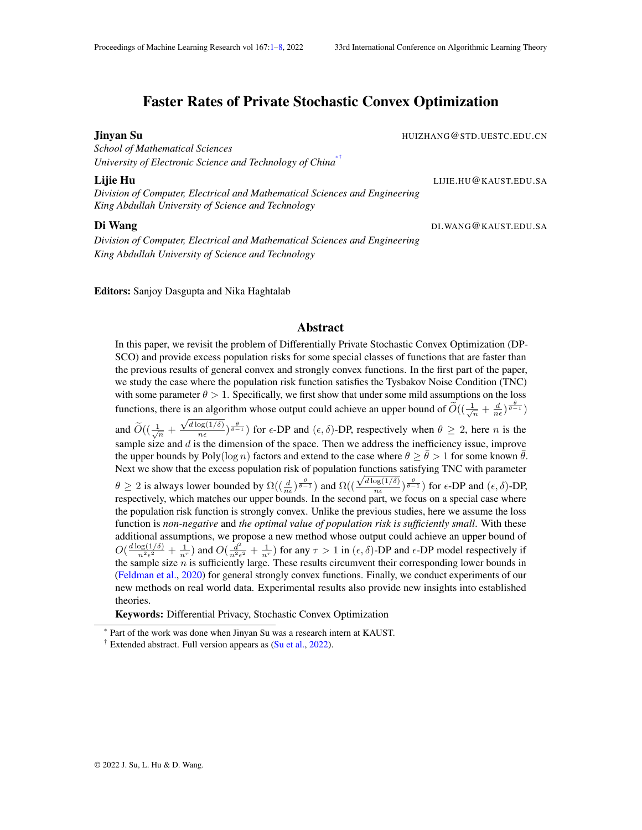# Faster Rates of Private Stochastic Convex Optimization

*School of Mathematical Sciences University of Electronic Science and Technology of China*[\\*](#page-0-1) [†](#page-0-2)

*Division of Computer, Electrical and Mathematical Sciences and Engineering King Abdullah University of Science and Technology*

*Division of Computer, Electrical and Mathematical Sciences and Engineering King Abdullah University of Science and Technology*

<span id="page-0-0"></span>**Jinyan Su HUIZHANG@STD.UESTC.EDU.CN** 

Lijie Hu LIJIE.HU@KAUST.EDU.SA

Di Wang DI.WANG@KAUST.EDU.SA

#### Editors: Sanjoy Dasgupta and Nika Haghtalab

### Abstract

In this paper, we revisit the problem of Differentially Private Stochastic Convex Optimization (DP-SCO) and provide excess population risks for some special classes of functions that are faster than the previous results of general convex and strongly convex functions. In the first part of the paper, we study the case where the population risk function satisfies the Tysbakov Noise Condition (TNC) with some parameter  $\theta > 1$ . Specifically, we first show that under some mild assumptions on the loss functions, there is an algorithm whose output could achieve an upper bound of  $\widetilde{O}\left(\left(\frac{1}{\sqrt{n}} + \frac{d}{n\epsilon}\right)\frac{\theta}{\theta-1}\right)$ and  $\widetilde{O}\left(\left(\frac{1}{\sqrt{n}} + \frac{\sqrt{d \log(1/\delta)}}{n\epsilon}\right)\right)$  $\frac{\log(1/\delta)}{n\epsilon}$   $\frac{\theta}{\theta-1}$  for  $\epsilon$ -DP and  $(\epsilon, \delta)$ -DP, respectively when  $\theta \ge 2$ , here *n* is the sample size and  $d$  is the dimension of the space. Then we address the inefficiency issue, improve the upper bounds by Poly( $\log n$ ) factors and extend to the case where  $\theta > \theta > 1$  for some known  $\theta$ . Next we show that the excess population risk of population functions satisfying TNC with parameter  $\theta \ge 2$  is always lower bounded by  $\Omega((\frac{d}{ne})^{\frac{\theta}{\theta-1}})$  and  $\Omega((\frac{\sqrt{d \log(1/\delta)}}{n\epsilon})^2)$  $\frac{\log(1/\delta)}{n\epsilon}$   $\frac{\theta}{\theta-1}$  for  $\epsilon$ -DP and  $(\epsilon, \delta)$ -DP, respectively, which matches our upper bounds. In the second part, we focus on a special case where the population risk function is strongly convex. Unlike the previous studies, here we assume the loss function is *non-negative* and *the optimal value of population risk is sufficiently small*. With these additional assumptions, we propose a new method whose output could achieve an upper bound of  $O(\frac{d \log(1/\delta)}{n^2 \epsilon^2} + \frac{1}{n^{\tau}})$  and  $O(\frac{d^2}{n^2 \epsilon}$  $\frac{d^2}{n^2\epsilon^2} + \frac{1}{n^{\tau}}$ ) for any  $\tau > 1$  in  $(\epsilon, \delta)$ -DP and  $\epsilon$ -DP model respectively if the sample size  $n$  is sufficiently large. These results circumvent their corresponding lower bounds in [\(Feldman et al.,](#page-5-0) [2020\)](#page-5-0) for general strongly convex functions. Finally, we conduct experiments of our new methods on real world data. Experimental results also provide new insights into established theories.

Keywords: Differential Privacy, Stochastic Convex Optimization

<span id="page-0-1"></span>Part of the work was done when Jinyan Su was a research intern at KAUST.

<span id="page-0-2"></span><sup>&</sup>lt;sup>†</sup> Extended abstract. Full version appears as  $(Su \text{ et al., } 2022)$  $(Su \text{ et al., } 2022)$ .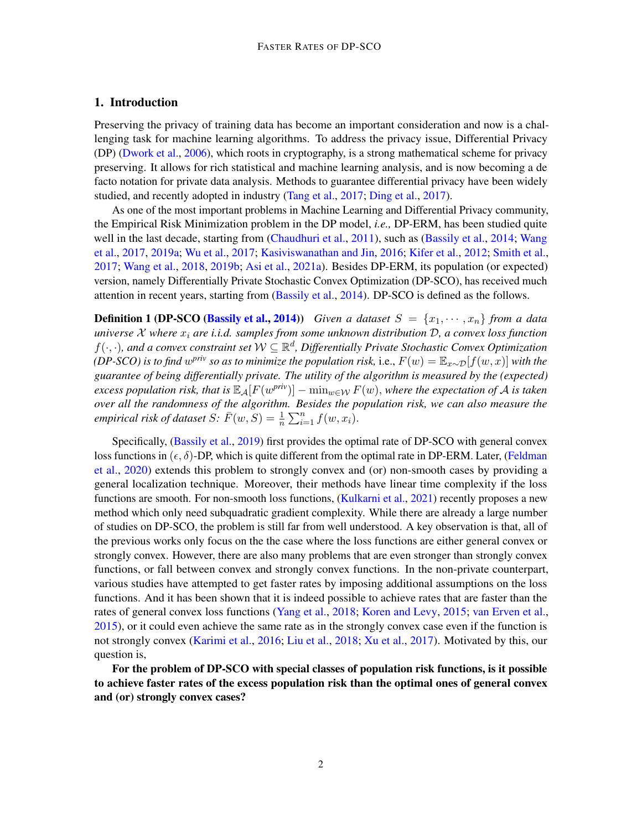## 1. Introduction

Preserving the privacy of training data has become an important consideration and now is a challenging task for machine learning algorithms. To address the privacy issue, Differential Privacy (DP) [\(Dwork et al.,](#page-5-1) [2006\)](#page-5-1), which roots in cryptography, is a strong mathematical scheme for privacy preserving. It allows for rich statistical and machine learning analysis, and is now becoming a de facto notation for private data analysis. Methods to guarantee differential privacy have been widely studied, and recently adopted in industry [\(Tang et al.,](#page-6-1) [2017;](#page-6-1) [Ding et al.,](#page-5-2) [2017\)](#page-5-2).

As one of the most important problems in Machine Learning and Differential Privacy community, the Empirical Risk Minimization problem in the DP model, *i.e.,* DP-ERM, has been studied quite well in the last decade, starting from [\(Chaudhuri et al.,](#page-5-3) [2011\)](#page-5-3), such as [\(Bassily et al.,](#page-4-0) [2014;](#page-4-0) [Wang](#page-6-2) [et al.,](#page-6-2) [2017,](#page-6-2) [2019a;](#page-6-3) [Wu et al.,](#page-7-1) [2017;](#page-7-1) [Kasiviswanathan and Jin,](#page-5-4) [2016;](#page-5-4) [Kifer et al.,](#page-5-5) [2012;](#page-5-5) [Smith et al.,](#page-6-4) [2017;](#page-6-4) [Wang et al.,](#page-6-5) [2018,](#page-6-5) [2019b;](#page-6-6) [Asi et al.,](#page-4-1) [2021a\)](#page-4-1). Besides DP-ERM, its population (or expected) version, namely Differentially Private Stochastic Convex Optimization (DP-SCO), has received much attention in recent years, starting from [\(Bassily et al.,](#page-4-0) [2014\)](#page-4-0). DP-SCO is defined as the follows.

**Definition 1 (DP-SCO [\(Bassily et al.,](#page-4-0) [2014\)](#page-4-0))** *Given a dataset*  $S = \{x_1, \dots, x_n\}$  *from a data universe* X *where* x<sup>i</sup> *are i.i.d. samples from some unknown distribution* D*, a convex loss function*  $f(\cdot,\cdot)$ , and a convex constraint set  $\mathcal{W} \subseteq \mathbb{R}^d$ , Differentially Private Stochastic Convex Optimization *(DP-SCO) is to find w<sup>priv</sup> so as to minimize the population risk,* i.e.,  $F(w) = \mathbb{E}_{x \sim \mathcal{D}}[f(w, x)]$  *with the guarantee of being differentially private. The utility of the algorithm is measured by the (expected)*  $\epsilon$ xcess population risk, that is  $\mathbb{E}_{\cal A}[F(w^{priv})] - \min_{w \in {\cal W}} F(w),$  where the expectation of  ${\cal A}$  is taken *over all the randomness of the algorithm. Besides the population risk, we can also measure the empirical risk of dataset*  $S: \overline{F}(w, S) = \frac{1}{n} \sum_{i=1}^{n} f(w, x_i)$ .

Specifically, [\(Bassily et al.,](#page-4-2) [2019\)](#page-4-2) first provides the optimal rate of DP-SCO with general convex loss functions in  $(\epsilon, \delta)$ -DP, which is quite different from the optimal rate in DP-ERM. Later, [\(Feldman](#page-5-0) [et al.,](#page-5-0) [2020\)](#page-5-0) extends this problem to strongly convex and (or) non-smooth cases by providing a general localization technique. Moreover, their methods have linear time complexity if the loss functions are smooth. For non-smooth loss functions, [\(Kulkarni et al.,](#page-5-6) [2021\)](#page-5-6) recently proposes a new method which only need subquadratic gradient complexity. While there are already a large number of studies on DP-SCO, the problem is still far from well understood. A key observation is that, all of the previous works only focus on the the case where the loss functions are either general convex or strongly convex. However, there are also many problems that are even stronger than strongly convex functions, or fall between convex and strongly convex functions. In the non-private counterpart, various studies have attempted to get faster rates by imposing additional assumptions on the loss functions. And it has been shown that it is indeed possible to achieve rates that are faster than the rates of general convex loss functions [\(Yang et al.,](#page-7-2) [2018;](#page-7-2) [Koren and Levy,](#page-5-7) [2015;](#page-5-7) [van Erven et al.,](#page-6-7) [2015\)](#page-6-7), or it could even achieve the same rate as in the strongly convex case even if the function is not strongly convex [\(Karimi et al.,](#page-5-8) [2016;](#page-5-8) [Liu et al.,](#page-6-8) [2018;](#page-6-8) [Xu et al.,](#page-7-3) [2017\)](#page-7-3). Motivated by this, our question is,

For the problem of DP-SCO with special classes of population risk functions, is it possible to achieve faster rates of the excess population risk than the optimal ones of general convex and (or) strongly convex cases?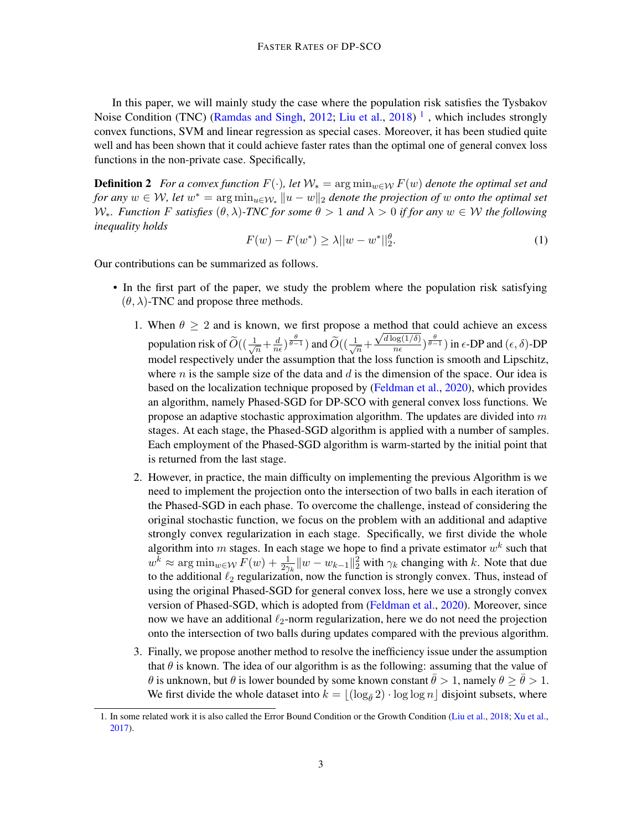In this paper, we will mainly study the case where the population risk satisfies the Tysbakov Noise Condition (TNC) [\(Ramdas and Singh,](#page-6-9) [2012;](#page-6-9) [Liu et al.,](#page-6-8) [2018\)](#page-6-8)<sup>[1](#page-2-0)</sup>, which includes strongly convex functions, SVM and linear regression as special cases. Moreover, it has been studied quite well and has been shown that it could achieve faster rates than the optimal one of general convex loss functions in the non-private case. Specifically,

**Definition 2** *For a convex function*  $F(\cdot)$ *, let*  $W_* = \arg \min_{w \in \mathcal{W}} F(w)$  *denote the optimal set and for any*  $w \in W$ , let  $w^* = \arg \min_{u \in \mathcal{W}_*} ||u - w||_2$  denote the projection of w onto the optimal set W∗*. Function* F *satisfies* (θ, λ)*-TNC for some* θ > 1 *and* λ > 0 *if for any* w ∈ W *the following inequality holds*

$$
F(w) - F(w^*) \ge \lambda ||w - w^*||_2^{\theta}.
$$
 (1)

Our contributions can be summarized as follows.

- In the first part of the paper, we study the problem where the population risk satisfying  $(\theta, \lambda)$ -TNC and propose three methods.
	- 1. When  $\theta \geq 2$  and is known, we first propose a method that could achieve an excess population risk of  $\widetilde{O}((\frac{1}{\sqrt{2}}$  $\frac{1}{n} + \frac{d}{n}$  $\frac{d}{n\epsilon}$ ) $\frac{\theta}{\theta-1}$ ) and  $\widetilde{O}((\frac{1}{\sqrt{n}}))$  $\frac{1}{n} + \frac{\sqrt{d \log(1/\delta)}}{n \epsilon}$  $\frac{\log(1/\delta)}{n\epsilon}$ ) $\frac{\theta}{\theta-1}$ ) in  $\epsilon$ -DP and  $(\epsilon, \delta)$ -DP model respectively under the assumption that the loss function is smooth and Lipschitz, where  $n$  is the sample size of the data and  $d$  is the dimension of the space. Our idea is based on the localization technique proposed by [\(Feldman et al.,](#page-5-0) [2020\)](#page-5-0), which provides an algorithm, namely Phased-SGD for DP-SCO with general convex loss functions. We propose an adaptive stochastic approximation algorithm. The updates are divided into  $m$ stages. At each stage, the Phased-SGD algorithm is applied with a number of samples. Each employment of the Phased-SGD algorithm is warm-started by the initial point that is returned from the last stage.
	- 2. However, in practice, the main difficulty on implementing the previous Algorithm is we need to implement the projection onto the intersection of two balls in each iteration of the Phased-SGD in each phase. To overcome the challenge, instead of considering the original stochastic function, we focus on the problem with an additional and adaptive strongly convex regularization in each stage. Specifically, we first divide the whole algorithm into m stages. In each stage we hope to find a private estimator  $w^k$  such that  $w^k \approx \arg \min_{w \in \mathcal{W}} F(w) + \frac{1}{2\gamma_k} ||w - w_{k-1}||_2^2$  with  $\gamma_k$  changing with k. Note that due to the additional  $\ell_2$  regularization, now the function is strongly convex. Thus, instead of using the original Phased-SGD for general convex loss, here we use a strongly convex version of Phased-SGD, which is adopted from [\(Feldman et al.,](#page-5-0) [2020\)](#page-5-0). Moreover, since now we have an additional  $\ell_2$ -norm regularization, here we do not need the projection onto the intersection of two balls during updates compared with the previous algorithm.
	- 3. Finally, we propose another method to resolve the inefficiency issue under the assumption that  $\theta$  is known. The idea of our algorithm is as the following: assuming that the value of θ is unknown, but θ is lower bounded by some known constant  $\bar{\theta} > 1$ , namely  $\theta \ge \bar{\theta} > 1$ . We first divide the whole dataset into  $k = |(\log_{\theta} 2) \cdot \log \log n|$  disjoint subsets, where

<span id="page-2-0"></span><sup>1.</sup> In some related work it is also called the Error Bound Condition or the Growth Condition [\(Liu et al.,](#page-6-8) [2018;](#page-6-8) [Xu et al.,](#page-7-3) [2017\)](#page-7-3).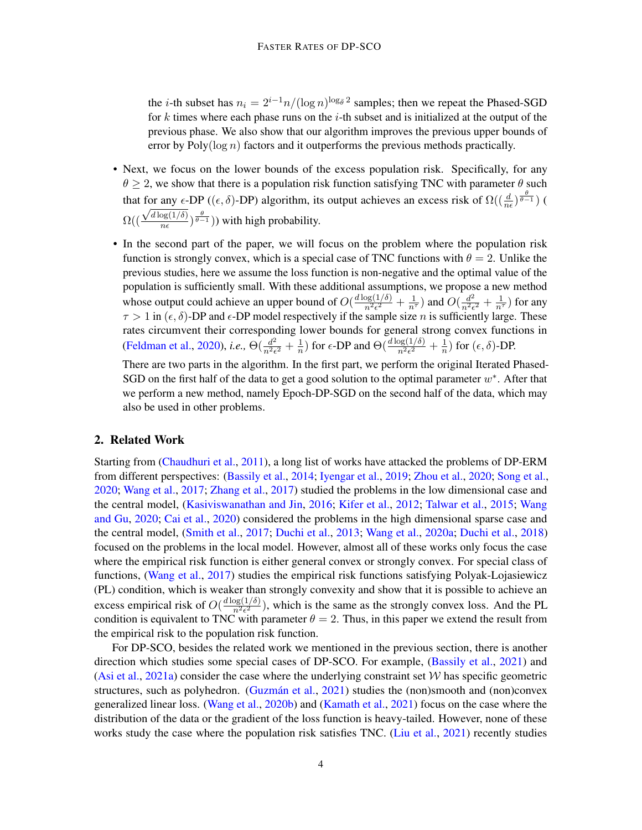the *i*-th subset has  $n_i = 2^{i-1}n/(\log n)^{\log_{\overline{\theta}} 2}$  samples; then we repeat the Phased-SGD for k times where each phase runs on the  $i$ -th subset and is initialized at the output of the previous phase. We also show that our algorithm improves the previous upper bounds of error by Poly( $\log n$ ) factors and it outperforms the previous methods practically.

- Next, we focus on the lower bounds of the excess population risk. Specifically, for any  $\theta \geq 2$ , we show that there is a population risk function satisfying TNC with parameter  $\theta$  such that for any  $\epsilon$ -DP (( $\epsilon$ ,  $\delta$ )-DP) algorithm, its output achieves an excess risk of  $\Omega((\frac{d}{n\epsilon})^{\frac{\theta}{\theta-1}})$  ( Ω((  $\frac{101 \text{ any } \epsilon}{\sqrt{d \log(1/\delta)}}$  $\frac{\log(1/\delta)}{n\epsilon})^{\frac{\theta}{\theta-1}}$ )) with high probability.
- In the second part of the paper, we will focus on the problem where the population risk function is strongly convex, which is a special case of TNC functions with  $\theta = 2$ . Unlike the previous studies, here we assume the loss function is non-negative and the optimal value of the population is sufficiently small. With these additional assumptions, we propose a new method whose output could achieve an upper bound of  $O(\frac{d \log(1/\delta)}{n^2 \epsilon^2})$  $\frac{\log(1/\delta)}{n^2\epsilon^2}+\frac{1}{n^{\tau}})$  and  $O(\frac{d^2}{n^2\epsilon^2})$  $\frac{d^2}{n^2\epsilon^2}+\frac{1}{n^{\tau}})$  for any  $\tau > 1$  in  $(\epsilon, \delta)$ -DP and  $\epsilon$ -DP model respectively if the sample size *n* is sufficiently large. These rates circumvent their corresponding lower bounds for general strong convex functions in [\(Feldman et al.,](#page-5-0) [2020\)](#page-5-0), *i.e.*,  $\Theta(\frac{d^2}{n^2 \epsilon})$  $rac{d^2}{n^2\epsilon^2}+\frac{1}{n}$  $\frac{1}{n}$ ) for  $\epsilon$ -DP and  $\Theta(\frac{d \log(1/\delta)}{n^2 \epsilon^2} + \frac{1}{n})$  $\frac{1}{n}$ ) for  $(\epsilon, \delta)$ -DP.

There are two parts in the algorithm. In the first part, we perform the original Iterated Phased-SGD on the first half of the data to get a good solution to the optimal parameter  $w^*$ . After that we perform a new method, namely Epoch-DP-SGD on the second half of the data, which may also be used in other problems.

### 2. Related Work

Starting from [\(Chaudhuri et al.,](#page-5-3) [2011\)](#page-5-3), a long list of works have attacked the problems of DP-ERM from different perspectives: [\(Bassily et al.,](#page-4-0) [2014;](#page-4-0) [Iyengar et al.,](#page-5-9) [2019;](#page-5-9) [Zhou et al.,](#page-7-4) [2020;](#page-7-4) [Song et al.,](#page-6-10) [2020;](#page-6-10) [Wang et al.,](#page-6-2) [2017;](#page-6-2) [Zhang et al.,](#page-7-5) [2017\)](#page-7-5) studied the problems in the low dimensional case and the central model, [\(Kasiviswanathan and Jin,](#page-5-4) [2016;](#page-5-4) [Kifer et al.,](#page-5-5) [2012;](#page-5-5) [Talwar et al.,](#page-6-11) [2015;](#page-6-11) [Wang](#page-7-6) [and Gu,](#page-7-6) [2020;](#page-7-6) [Cai et al.,](#page-5-10) [2020\)](#page-5-10) considered the problems in the high dimensional sparse case and the central model, [\(Smith et al.,](#page-6-4) [2017;](#page-6-4) [Duchi et al.,](#page-5-11) [2013;](#page-5-11) [Wang et al.,](#page-7-7) [2020a;](#page-7-7) [Duchi et al.,](#page-5-12) [2018\)](#page-5-12) focused on the problems in the local model. However, almost all of these works only focus the case where the empirical risk function is either general convex or strongly convex. For special class of functions, [\(Wang et al.,](#page-6-2) [2017\)](#page-6-2) studies the empirical risk functions satisfying Polyak-Lojasiewicz (PL) condition, which is weaker than strongly convexity and show that it is possible to achieve an excess empirical risk of  $O(\frac{d \log(1/\delta)}{n^2 \epsilon^2})$  $\frac{\log(1/\theta)}{n^2\epsilon^2}$ ), which is the same as the strongly convex loss. And the PL condition is equivalent to TNC with parameter  $\theta = 2$ . Thus, in this paper we extend the result from the empirical risk to the population risk function.

For DP-SCO, besides the related work we mentioned in the previous section, there is another direction which studies some special cases of DP-SCO. For example, [\(Bassily et al.,](#page-4-3) [2021\)](#page-4-3) and [\(Asi et al.,](#page-4-1) [2021a\)](#page-4-1) consider the case where the underlying constraint set  $W$  has specific geometric structures, such as polyhedron. (Guzmán et al., [2021\)](#page-5-13) studies the (non)smooth and (non)convex generalized linear loss. [\(Wang et al.,](#page-7-8) [2020b\)](#page-7-8) and [\(Kamath et al.,](#page-5-14) [2021\)](#page-5-14) focus on the case where the distribution of the data or the gradient of the loss function is heavy-tailed. However, none of these works study the case where the population risk satisfies TNC. [\(Liu et al.,](#page-6-12) [2021\)](#page-6-12) recently studies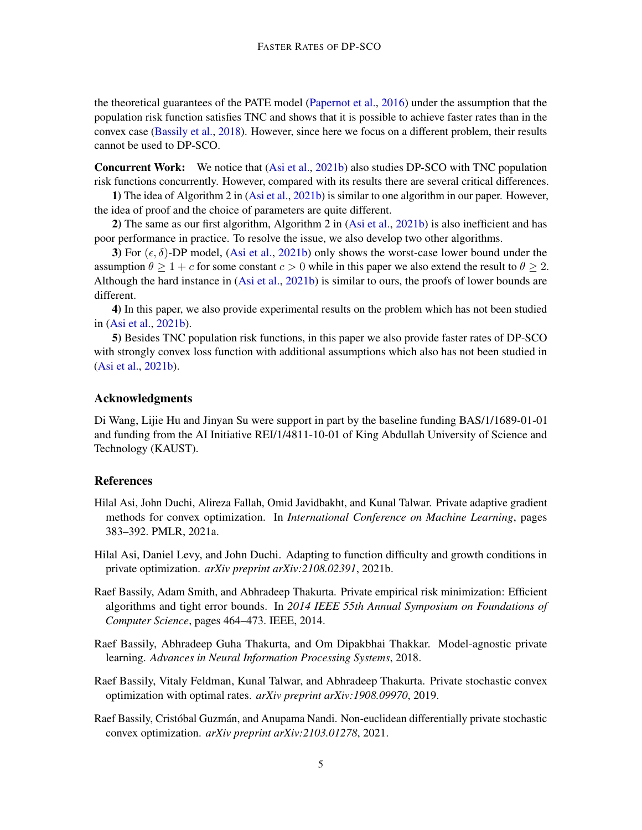the theoretical guarantees of the PATE model [\(Papernot et al.,](#page-6-13) [2016\)](#page-6-13) under the assumption that the population risk function satisfies TNC and shows that it is possible to achieve faster rates than in the convex case [\(Bassily et al.,](#page-4-4) [2018\)](#page-4-4). However, since here we focus on a different problem, their results cannot be used to DP-SCO.

Concurrent Work: We notice that [\(Asi et al.,](#page-4-5) [2021b\)](#page-4-5) also studies DP-SCO with TNC population risk functions concurrently. However, compared with its results there are several critical differences.

1) The idea of Algorithm 2 in [\(Asi et al.,](#page-4-5) [2021b\)](#page-4-5) is similar to one algorithm in our paper. However, the idea of proof and the choice of parameters are quite different.

2) The same as our first algorithm, Algorithm 2 in [\(Asi et al.,](#page-4-5) [2021b\)](#page-4-5) is also inefficient and has poor performance in practice. To resolve the issue, we also develop two other algorithms.

3) For  $(\epsilon, \delta)$ -DP model, [\(Asi et al.,](#page-4-5) [2021b\)](#page-4-5) only shows the worst-case lower bound under the assumption  $\theta \geq 1 + c$  for some constant  $c > 0$  while in this paper we also extend the result to  $\theta \geq 2$ . Although the hard instance in [\(Asi et al.,](#page-4-5) [2021b\)](#page-4-5) is similar to ours, the proofs of lower bounds are different.

4) In this paper, we also provide experimental results on the problem which has not been studied in [\(Asi et al.,](#page-4-5) [2021b\)](#page-4-5).

5) Besides TNC population risk functions, in this paper we also provide faster rates of DP-SCO with strongly convex loss function with additional assumptions which also has not been studied in [\(Asi et al.,](#page-4-5) [2021b\)](#page-4-5).

### Acknowledgments

Di Wang, Lijie Hu and Jinyan Su were support in part by the baseline funding BAS/1/1689-01-01 and funding from the AI Initiative REI/1/4811-10-01 of King Abdullah University of Science and Technology (KAUST).

### References

- <span id="page-4-1"></span>Hilal Asi, John Duchi, Alireza Fallah, Omid Javidbakht, and Kunal Talwar. Private adaptive gradient methods for convex optimization. In *International Conference on Machine Learning*, pages 383–392. PMLR, 2021a.
- <span id="page-4-5"></span>Hilal Asi, Daniel Levy, and John Duchi. Adapting to function difficulty and growth conditions in private optimization. *arXiv preprint arXiv:2108.02391*, 2021b.
- <span id="page-4-0"></span>Raef Bassily, Adam Smith, and Abhradeep Thakurta. Private empirical risk minimization: Efficient algorithms and tight error bounds. In *2014 IEEE 55th Annual Symposium on Foundations of Computer Science*, pages 464–473. IEEE, 2014.
- <span id="page-4-4"></span>Raef Bassily, Abhradeep Guha Thakurta, and Om Dipakbhai Thakkar. Model-agnostic private learning. *Advances in Neural Information Processing Systems*, 2018.
- <span id="page-4-2"></span>Raef Bassily, Vitaly Feldman, Kunal Talwar, and Abhradeep Thakurta. Private stochastic convex optimization with optimal rates. *arXiv preprint arXiv:1908.09970*, 2019.
- <span id="page-4-3"></span>Raef Bassily, Cristóbal Guzmán, and Anupama Nandi. Non-euclidean differentially private stochastic convex optimization. *arXiv preprint arXiv:2103.01278*, 2021.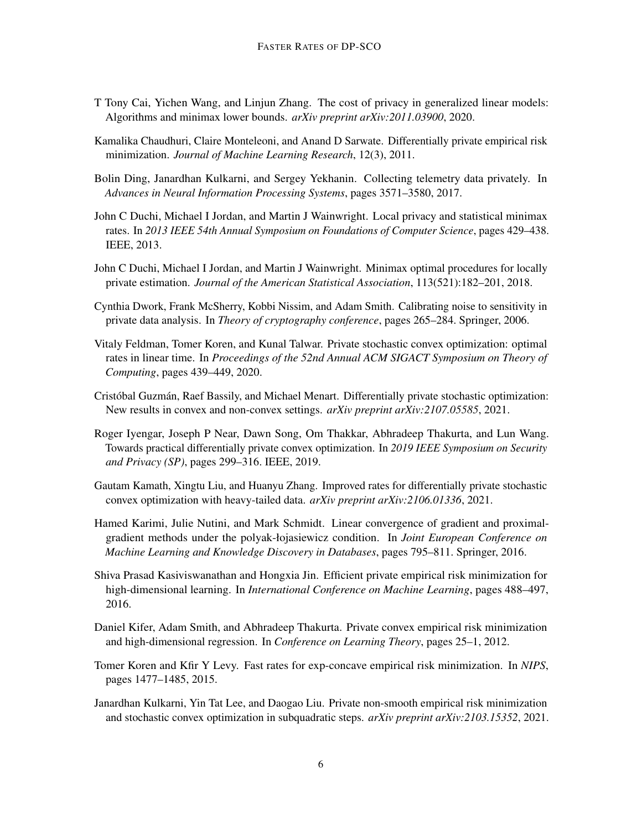- <span id="page-5-10"></span>T Tony Cai, Yichen Wang, and Linjun Zhang. The cost of privacy in generalized linear models: Algorithms and minimax lower bounds. *arXiv preprint arXiv:2011.03900*, 2020.
- <span id="page-5-3"></span>Kamalika Chaudhuri, Claire Monteleoni, and Anand D Sarwate. Differentially private empirical risk minimization. *Journal of Machine Learning Research*, 12(3), 2011.
- <span id="page-5-2"></span>Bolin Ding, Janardhan Kulkarni, and Sergey Yekhanin. Collecting telemetry data privately. In *Advances in Neural Information Processing Systems*, pages 3571–3580, 2017.
- <span id="page-5-11"></span>John C Duchi, Michael I Jordan, and Martin J Wainwright. Local privacy and statistical minimax rates. In *2013 IEEE 54th Annual Symposium on Foundations of Computer Science*, pages 429–438. IEEE, 2013.
- <span id="page-5-12"></span>John C Duchi, Michael I Jordan, and Martin J Wainwright. Minimax optimal procedures for locally private estimation. *Journal of the American Statistical Association*, 113(521):182–201, 2018.
- <span id="page-5-1"></span>Cynthia Dwork, Frank McSherry, Kobbi Nissim, and Adam Smith. Calibrating noise to sensitivity in private data analysis. In *Theory of cryptography conference*, pages 265–284. Springer, 2006.
- <span id="page-5-0"></span>Vitaly Feldman, Tomer Koren, and Kunal Talwar. Private stochastic convex optimization: optimal rates in linear time. In *Proceedings of the 52nd Annual ACM SIGACT Symposium on Theory of Computing*, pages 439–449, 2020.
- <span id="page-5-13"></span>Cristóbal Guzmán, Raef Bassily, and Michael Menart. Differentially private stochastic optimization: New results in convex and non-convex settings. *arXiv preprint arXiv:2107.05585*, 2021.
- <span id="page-5-9"></span>Roger Iyengar, Joseph P Near, Dawn Song, Om Thakkar, Abhradeep Thakurta, and Lun Wang. Towards practical differentially private convex optimization. In *2019 IEEE Symposium on Security and Privacy (SP)*, pages 299–316. IEEE, 2019.
- <span id="page-5-14"></span>Gautam Kamath, Xingtu Liu, and Huanyu Zhang. Improved rates for differentially private stochastic convex optimization with heavy-tailed data. *arXiv preprint arXiv:2106.01336*, 2021.
- <span id="page-5-8"></span>Hamed Karimi, Julie Nutini, and Mark Schmidt. Linear convergence of gradient and proximalgradient methods under the polyak-łojasiewicz condition. In *Joint European Conference on Machine Learning and Knowledge Discovery in Databases*, pages 795–811. Springer, 2016.
- <span id="page-5-4"></span>Shiva Prasad Kasiviswanathan and Hongxia Jin. Efficient private empirical risk minimization for high-dimensional learning. In *International Conference on Machine Learning*, pages 488–497, 2016.
- <span id="page-5-5"></span>Daniel Kifer, Adam Smith, and Abhradeep Thakurta. Private convex empirical risk minimization and high-dimensional regression. In *Conference on Learning Theory*, pages 25–1, 2012.
- <span id="page-5-7"></span>Tomer Koren and Kfir Y Levy. Fast rates for exp-concave empirical risk minimization. In *NIPS*, pages 1477–1485, 2015.
- <span id="page-5-6"></span>Janardhan Kulkarni, Yin Tat Lee, and Daogao Liu. Private non-smooth empirical risk minimization and stochastic convex optimization in subquadratic steps. *arXiv preprint arXiv:2103.15352*, 2021.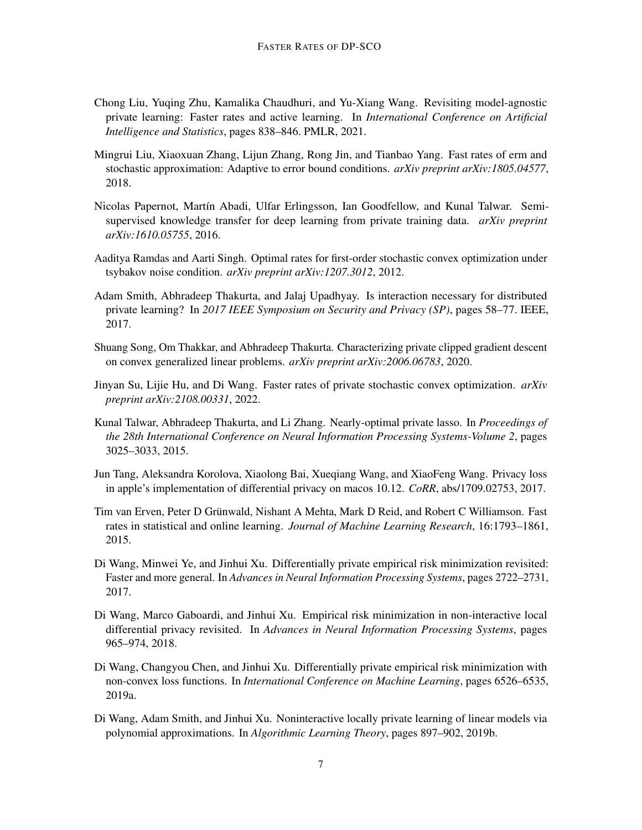- <span id="page-6-12"></span>Chong Liu, Yuqing Zhu, Kamalika Chaudhuri, and Yu-Xiang Wang. Revisiting model-agnostic private learning: Faster rates and active learning. In *International Conference on Artificial Intelligence and Statistics*, pages 838–846. PMLR, 2021.
- <span id="page-6-8"></span>Mingrui Liu, Xiaoxuan Zhang, Lijun Zhang, Rong Jin, and Tianbao Yang. Fast rates of erm and stochastic approximation: Adaptive to error bound conditions. *arXiv preprint arXiv:1805.04577*, 2018.
- <span id="page-6-13"></span>Nicolas Papernot, Martín Abadi, Ulfar Erlingsson, Ian Goodfellow, and Kunal Talwar. Semisupervised knowledge transfer for deep learning from private training data. *arXiv preprint arXiv:1610.05755*, 2016.
- <span id="page-6-9"></span>Aaditya Ramdas and Aarti Singh. Optimal rates for first-order stochastic convex optimization under tsybakov noise condition. *arXiv preprint arXiv:1207.3012*, 2012.
- <span id="page-6-4"></span>Adam Smith, Abhradeep Thakurta, and Jalaj Upadhyay. Is interaction necessary for distributed private learning? In *2017 IEEE Symposium on Security and Privacy (SP)*, pages 58–77. IEEE, 2017.
- <span id="page-6-10"></span>Shuang Song, Om Thakkar, and Abhradeep Thakurta. Characterizing private clipped gradient descent on convex generalized linear problems. *arXiv preprint arXiv:2006.06783*, 2020.
- <span id="page-6-0"></span>Jinyan Su, Lijie Hu, and Di Wang. Faster rates of private stochastic convex optimization. *arXiv preprint arXiv:2108.00331*, 2022.
- <span id="page-6-11"></span>Kunal Talwar, Abhradeep Thakurta, and Li Zhang. Nearly-optimal private lasso. In *Proceedings of the 28th International Conference on Neural Information Processing Systems-Volume 2*, pages 3025–3033, 2015.
- <span id="page-6-1"></span>Jun Tang, Aleksandra Korolova, Xiaolong Bai, Xueqiang Wang, and XiaoFeng Wang. Privacy loss in apple's implementation of differential privacy on macos 10.12. *CoRR*, abs/1709.02753, 2017.
- <span id="page-6-7"></span>Tim van Erven, Peter D Grünwald, Nishant A Mehta, Mark D Reid, and Robert C Williamson. Fast rates in statistical and online learning. *Journal of Machine Learning Research*, 16:1793–1861, 2015.
- <span id="page-6-2"></span>Di Wang, Minwei Ye, and Jinhui Xu. Differentially private empirical risk minimization revisited: Faster and more general. In *Advances in Neural Information Processing Systems*, pages 2722–2731, 2017.
- <span id="page-6-5"></span>Di Wang, Marco Gaboardi, and Jinhui Xu. Empirical risk minimization in non-interactive local differential privacy revisited. In *Advances in Neural Information Processing Systems*, pages 965–974, 2018.
- <span id="page-6-3"></span>Di Wang, Changyou Chen, and Jinhui Xu. Differentially private empirical risk minimization with non-convex loss functions. In *International Conference on Machine Learning*, pages 6526–6535, 2019a.
- <span id="page-6-6"></span>Di Wang, Adam Smith, and Jinhui Xu. Noninteractive locally private learning of linear models via polynomial approximations. In *Algorithmic Learning Theory*, pages 897–902, 2019b.